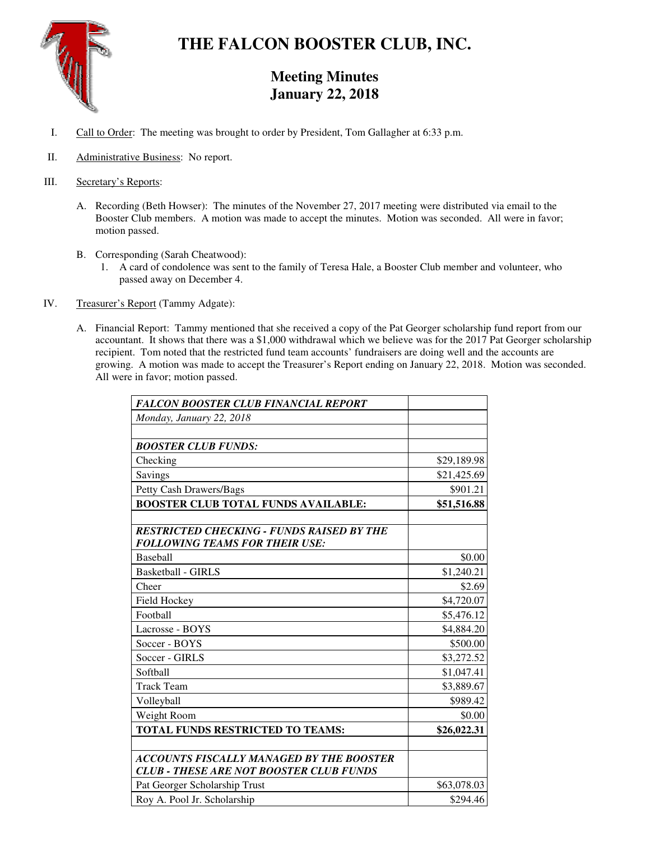

# **THE FALCON BOOSTER CLUB, INC.**

## **Meeting Minutes January 22, 2018**

- I. Call to Order: The meeting was brought to order by President, Tom Gallagher at 6:33 p.m.
- II. Administrative Business: No report.

### III. Secretary's Reports:

- A. Recording (Beth Howser): The minutes of the November 27, 2017 meeting were distributed via email to the Booster Club members. A motion was made to accept the minutes. Motion was seconded. All were in favor; motion passed.
- B. Corresponding (Sarah Cheatwood):
	- 1. A card of condolence was sent to the family of Teresa Hale, a Booster Club member and volunteer, who passed away on December 4.
- IV. Treasurer's Report (Tammy Adgate):
	- A. Financial Report: Tammy mentioned that she received a copy of the Pat Georger scholarship fund report from our accountant. It shows that there was a \$1,000 withdrawal which we believe was for the 2017 Pat Georger scholarship recipient. Tom noted that the restricted fund team accounts' fundraisers are doing well and the accounts are growing. A motion was made to accept the Treasurer's Report ending on January 22, 2018. Motion was seconded. All were in favor; motion passed.

| <b>FALCON BOOSTER CLUB FINANCIAL REPORT</b>                                                |             |
|--------------------------------------------------------------------------------------------|-------------|
| Monday, January 22, 2018                                                                   |             |
|                                                                                            |             |
| <b>BOOSTER CLUB FUNDS:</b>                                                                 |             |
| Checking                                                                                   | \$29,189.98 |
| Savings                                                                                    | \$21,425.69 |
| Petty Cash Drawers/Bags                                                                    | \$901.21    |
| <b>BOOSTER CLUB TOTAL FUNDS AVAILABLE:</b>                                                 | \$51,516.88 |
|                                                                                            |             |
| <b>RESTRICTED CHECKING - FUNDS RAISED BY THE</b><br><b>FOLLOWING TEAMS FOR THEIR USE:</b>  |             |
| <b>Baseball</b>                                                                            | \$0.00      |
| <b>Basketball - GIRLS</b>                                                                  | \$1,240.21  |
| Cheer                                                                                      | \$2.69      |
| Field Hockey                                                                               | \$4,720.07  |
| Football                                                                                   | \$5,476.12  |
| Lacrosse - BOYS                                                                            | \$4,884.20  |
| Soccer - BOYS                                                                              | \$500.00    |
| Soccer - GIRLS                                                                             | \$3,272.52  |
| Softball                                                                                   | \$1,047.41  |
| <b>Track Team</b>                                                                          | \$3,889.67  |
| Volleyball                                                                                 | \$989.42    |
| Weight Room                                                                                | \$0.00      |
| <b>TOTAL FUNDS RESTRICTED TO TEAMS:</b>                                                    | \$26,022.31 |
| ACCOUNTS FISCALLY MANAGED BY THE BOOSTER<br><b>CLUB - THESE ARE NOT BOOSTER CLUB FUNDS</b> |             |
| Pat Georger Scholarship Trust                                                              | \$63,078.03 |
| Roy A. Pool Jr. Scholarship                                                                | \$294.46    |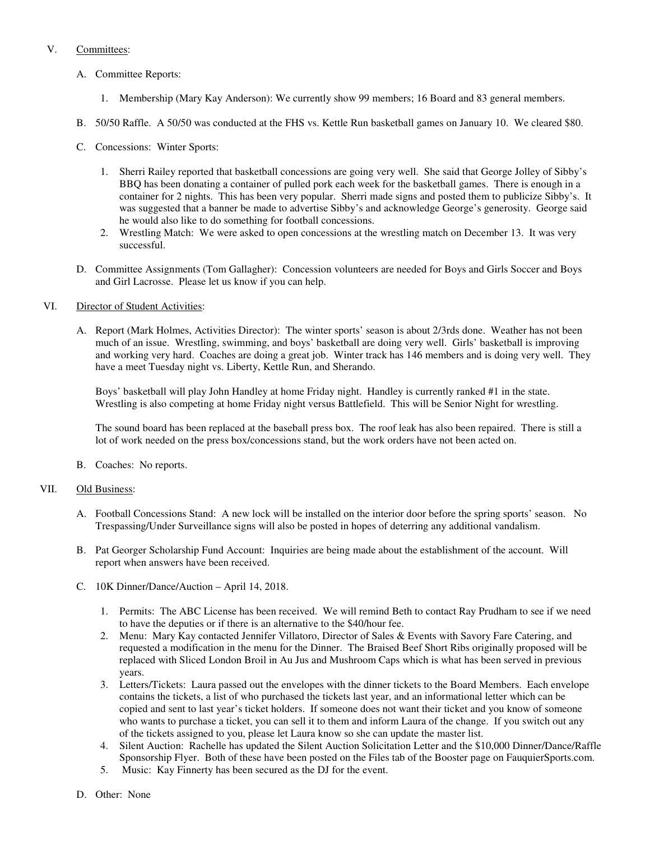### V. Committees:

- A. Committee Reports:
	- 1. Membership (Mary Kay Anderson): We currently show 99 members; 16 Board and 83 general members.
- B. 50/50 Raffle. A 50/50 was conducted at the FHS vs. Kettle Run basketball games on January 10. We cleared \$80.
- C. Concessions: Winter Sports:
	- 1. Sherri Railey reported that basketball concessions are going very well. She said that George Jolley of Sibby's BBQ has been donating a container of pulled pork each week for the basketball games. There is enough in a container for 2 nights. This has been very popular. Sherri made signs and posted them to publicize Sibby's. It was suggested that a banner be made to advertise Sibby's and acknowledge George's generosity. George said he would also like to do something for football concessions.
	- 2. Wrestling Match: We were asked to open concessions at the wrestling match on December 13. It was very successful.
- D. Committee Assignments (Tom Gallagher): Concession volunteers are needed for Boys and Girls Soccer and Boys and Girl Lacrosse. Please let us know if you can help.

#### VI. Director of Student Activities:

A. Report (Mark Holmes, Activities Director): The winter sports' season is about 2/3rds done. Weather has not been much of an issue. Wrestling, swimming, and boys' basketball are doing very well. Girls' basketball is improving and working very hard. Coaches are doing a great job. Winter track has 146 members and is doing very well. They have a meet Tuesday night vs. Liberty, Kettle Run, and Sherando.

Boys' basketball will play John Handley at home Friday night. Handley is currently ranked #1 in the state. Wrestling is also competing at home Friday night versus Battlefield. This will be Senior Night for wrestling.

The sound board has been replaced at the baseball press box. The roof leak has also been repaired. There is still a lot of work needed on the press box/concessions stand, but the work orders have not been acted on.

B. Coaches: No reports.

#### VII. Old Business:

- A. Football Concessions Stand: A new lock will be installed on the interior door before the spring sports' season. No Trespassing/Under Surveillance signs will also be posted in hopes of deterring any additional vandalism.
- B. Pat Georger Scholarship Fund Account: Inquiries are being made about the establishment of the account. Will report when answers have been received.
- C. 10K Dinner/Dance/Auction April 14, 2018.
	- 1. Permits: The ABC License has been received. We will remind Beth to contact Ray Prudham to see if we need to have the deputies or if there is an alternative to the \$40/hour fee.
	- 2. Menu: Mary Kay contacted Jennifer Villatoro, Director of Sales & Events with Savory Fare Catering, and requested a modification in the menu for the Dinner. The Braised Beef Short Ribs originally proposed will be replaced with Sliced London Broil in Au Jus and Mushroom Caps which is what has been served in previous years.
	- 3. Letters/Tickets: Laura passed out the envelopes with the dinner tickets to the Board Members. Each envelope contains the tickets, a list of who purchased the tickets last year, and an informational letter which can be copied and sent to last year's ticket holders. If someone does not want their ticket and you know of someone who wants to purchase a ticket, you can sell it to them and inform Laura of the change. If you switch out any of the tickets assigned to you, please let Laura know so she can update the master list.
	- 4. Silent Auction: Rachelle has updated the Silent Auction Solicitation Letter and the \$10,000 Dinner/Dance/Raffle Sponsorship Flyer. Both of these have been posted on the Files tab of the Booster page on FauquierSports.com.
	- 5. Music: Kay Finnerty has been secured as the DJ for the event.